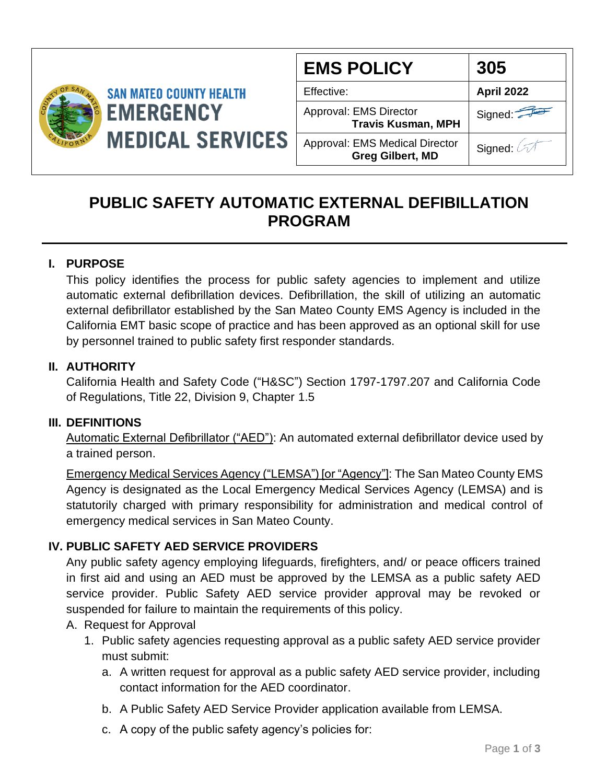

| <b>EMS POLICY</b>                                                | 305        |
|------------------------------------------------------------------|------------|
| Effective:                                                       | April 2022 |
| Approval: EMS Director<br><b>Travis Kusman, MPH</b>              | Signed:    |
| <b>Approval: EMS Medical Director</b><br><b>Greg Gilbert, MD</b> | Signed:    |

# **PUBLIC SAFETY AUTOMATIC EXTERNAL DEFIBILLATION PROGRAM**

## **I. PURPOSE**

This policy identifies the process for public safety agencies to implement and utilize automatic external defibrillation devices. Defibrillation, the skill of utilizing an automatic external defibrillator established by the San Mateo County EMS Agency is included in the California EMT basic scope of practice and has been approved as an optional skill for use by personnel trained to public safety first responder standards.

#### **II. AUTHORITY**

California Health and Safety Code ("H&SC") Section 1797-1797.207 and California Code of Regulations, Title 22, Division 9, Chapter 1.5

#### **III. DEFINITIONS**

Automatic External Defibrillator ("AED"): An automated external defibrillator device used by a trained person.

Emergency Medical Services Agency ("LEMSA") [or "Agency"]: The San Mateo County EMS Agency is designated as the Local Emergency Medical Services Agency (LEMSA) and is statutorily charged with primary responsibility for administration and medical control of emergency medical services in San Mateo County.

### **IV. PUBLIC SAFETY AED SERVICE PROVIDERS**

Any public safety agency employing lifeguards, firefighters, and/ or peace officers trained in first aid and using an AED must be approved by the LEMSA as a public safety AED service provider. Public Safety AED service provider approval may be revoked or suspended for failure to maintain the requirements of this policy.

#### A. Request for Approval

- 1. Public safety agencies requesting approval as a public safety AED service provider must submit:
	- a. A written request for approval as a public safety AED service provider, including contact information for the AED coordinator.
	- b. A Public Safety AED Service Provider application available from LEMSA.
	- c. A copy of the public safety agency's policies for: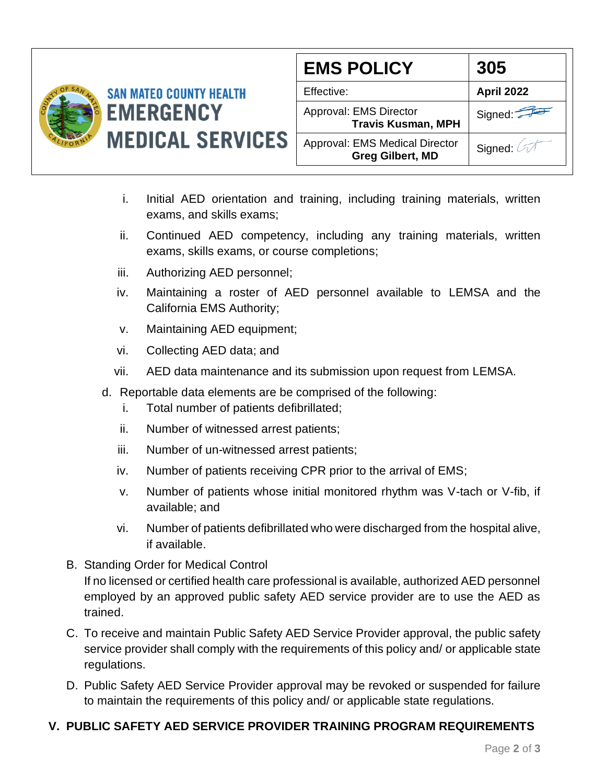

| <b>EMS POLICY</b>                                                | 305        |
|------------------------------------------------------------------|------------|
| Effective:                                                       | April 2022 |
| Approval: EMS Director<br><b>Travis Kusman, MPH</b>              | Signed:    |
| <b>Approval: EMS Medical Director</b><br><b>Greg Gilbert, MD</b> | Signed:    |

- i. Initial AED orientation and training, including training materials, written exams, and skills exams;
- ii. Continued AED competency, including any training materials, written exams, skills exams, or course completions;
- iii. Authorizing AED personnel;
- iv. Maintaining a roster of AED personnel available to LEMSA and the California EMS Authority;
- v. Maintaining AED equipment;
- vi. Collecting AED data; and
- vii. AED data maintenance and its submission upon request from LEMSA.
- d. Reportable data elements are be comprised of the following:
	- i. Total number of patients defibrillated;
	- ii. Number of witnessed arrest patients;
	- iii. Number of un-witnessed arrest patients;
	- iv. Number of patients receiving CPR prior to the arrival of EMS;
	- v. Number of patients whose initial monitored rhythm was V-tach or V-fib, if available; and
	- vi. Number of patients defibrillated who were discharged from the hospital alive, if available.
- B. Standing Order for Medical Control If no licensed or certified health care professional is available, authorized AED personnel employed by an approved public safety AED service provider are to use the AED as trained.
- C. To receive and maintain Public Safety AED Service Provider approval, the public safety service provider shall comply with the requirements of this policy and/ or applicable state regulations.
- D. Public Safety AED Service Provider approval may be revoked or suspended for failure to maintain the requirements of this policy and/ or applicable state regulations.

## **V. PUBLIC SAFETY AED SERVICE PROVIDER TRAINING PROGRAM REQUIREMENTS**